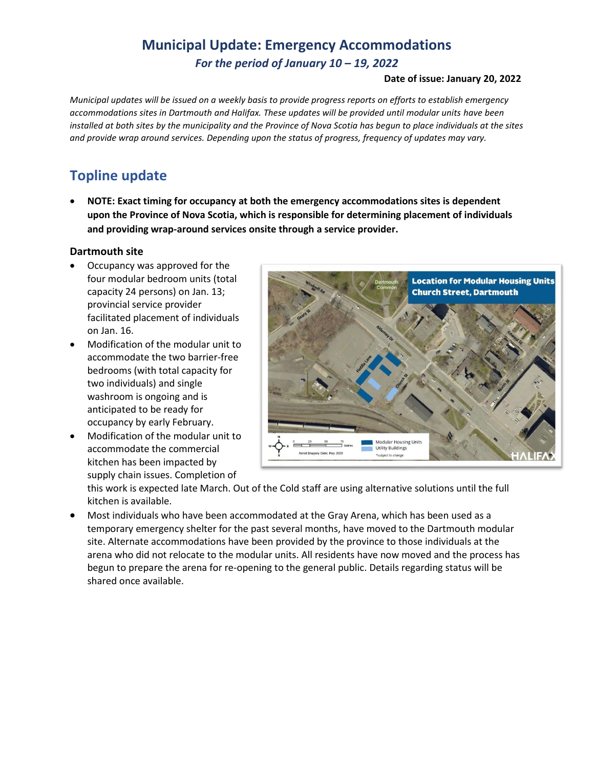## **Municipal Update: Emergency Accommodations** *For the period of January 10 – 19, 2022*

#### **Date of issue: January 20, 2022**

*Municipal updates will be issued on a weekly basis to provide progress reports on efforts to establish emergency accommodations sites in Dartmouth and Halifax. These updates will be provided until modular units have been installed at both sites by the municipality and the Province of Nova Scotia has begun to place individuals at the sites and provide wrap around services. Depending upon the status of progress, frequency of updates may vary.* 

# **Topline update**

• **NOTE: Exact timing for occupancy at both the emergency accommodations sites is dependent upon the Province of Nova Scotia, which is responsible for determining placement of individuals and providing wrap-around services onsite through a service provider.**

#### **Dartmouth site**

- Occupancy was approved for the four modular bedroom units (total capacity 24 persons) on Jan. 13; provincial service provider facilitated placement of individuals on Jan. 16.
- Modification of the modular unit to accommodate the two barrier-free bedrooms (with total capacity for two individuals) and single washroom is ongoing and is anticipated to be ready for occupancy by early February.
- Modification of the modular unit to accommodate the commercial kitchen has been impacted by supply chain issues. Completion of



this work is expected late March. Out of the Cold staff are using alternative solutions until the full kitchen is available.

• Most individuals who have been accommodated at the Gray Arena, which has been used as a temporary emergency shelter for the past several months, have moved to the Dartmouth modular site. Alternate accommodations have been provided by the province to those individuals at the arena who did not relocate to the modular units. All residents have now moved and the process has begun to prepare the arena for re-opening to the general public. Details regarding status will be shared once available.